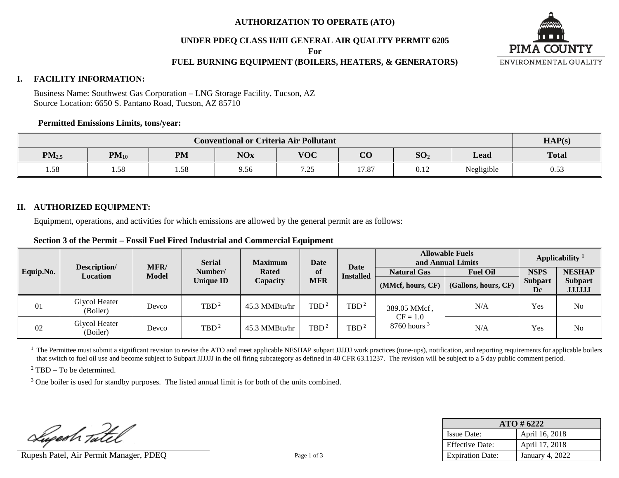### **AUTHORIZATION TO OPERATE (ATO)**

**UNDER PDEQ CLASS II/III GENERAL AIR QUALITY PERMIT 6205**

**For**

## **FUEL BURNING EQUIPMENT (BOILERS, HEATERS, & GENERATORS)**



### **I. FACILITY INFORMATION:**

Business Name: Southwest Gas Corporation – LNG Storage Facility, Tucson, AZ Source Location: 6650 S. Pantano Road, Tucson, AZ 85710

### **Permitted Emissions Limits, tons/year:**

| <b>Conventional or Criteria Air Pollutant</b> |           |           |            |                |                |                  | HAP(s)     |              |
|-----------------------------------------------|-----------|-----------|------------|----------------|----------------|------------------|------------|--------------|
| PM <sub>2.5</sub>                             | $PM_{10}$ | <b>PM</b> | <b>NOx</b> | <b>VOC</b>     | $\Omega$<br>UU | SO <sub>2</sub>  | Lead       | <b>Total</b> |
| 1.58                                          | 1.58      | 1.58      | 9.56       | 7 75<br>ر رے . | 17.87          | $\cdots$<br>0.12 | Negligible | 0.53         |

### **II. AUTHORIZED EQUIPMENT:**

Equipment, operations, and activities for which emissions are allowed by the general permit are as follows:

**Section 3 of the Permit – Fossil Fuel Fired Industrial and Commercial Equipment**

|           | <b>Serial</b><br><b>Date</b><br><b>Maximum</b> |                             | <b>Allowable Fuels</b><br>and Annual Limits | Applicability $1$ |                  |                          |                            |                      |                      |                                 |
|-----------|------------------------------------------------|-----------------------------|---------------------------------------------|-------------------|------------------|--------------------------|----------------------------|----------------------|----------------------|---------------------------------|
| Equip.No. | Description/<br>Location                       | <b>MFR/</b><br><b>Model</b> | Number/                                     | <b>Rated</b>      | of               | Date<br><b>Installed</b> | <b>Natural Gas</b>         | <b>Fuel Oil</b>      | <b>NSPS</b>          | <b>NESHAP</b>                   |
|           |                                                |                             | <b>Unique ID</b>                            | Capacity          | <b>MFR</b>       |                          | (MMcf, hours, CF)          | (Gallons, hours, CF) | <b>Subpart</b><br>Dc | <b>Subpart</b><br><b>JJJJJJ</b> |
| 01        | Glycol Heater<br>(Boiler)                      | Devco                       | TBD <sup>2</sup>                            | 45.3 MMBtu/hr     | TBD <sup>2</sup> | TBD <sup>2</sup>         | 389.05 MMcf,<br>$CF = 1.0$ | N/A                  | Yes                  | N <sub>o</sub>                  |
| 02        | Glycol Heater<br>(Boiler)                      | Devco                       | TBD <sup>2</sup>                            | 45.3 MMBtu/hr     | TBD <sup>2</sup> | TBD <sup>2</sup>         | $8760$ hours $3$           | N/A                  | Yes                  | N <sub>o</sub>                  |

<sup>1</sup> The Permittee must submit a significant revision to revise the ATO and meet applicable NESHAP subpart JJJJJJ work practices (tune-ups), notification, and reporting requirements for applicable boilers that switch to fuel oil use and become subject to Subpart JJJJJJ in the oil firing subcategory as defined in 40 CFR 63.11237. The revision will be subject to a 5 day public comment period.

<sup>2</sup> TBD – To be determined.

<sup>3</sup> One boiler is used for standby purposes. The listed annual limit is for both of the units combined.

Lugesh Tatel

Rupesh Patel, Air Permit Manager, PDEQ Page 1 of 3

| $ATO \# 6222$           |                 |  |  |  |  |
|-------------------------|-----------------|--|--|--|--|
| <b>Issue Date:</b>      | April 16, 2018  |  |  |  |  |
| <b>Effective Date:</b>  | April 17, 2018  |  |  |  |  |
| <b>Expiration Date:</b> | January 4, 2022 |  |  |  |  |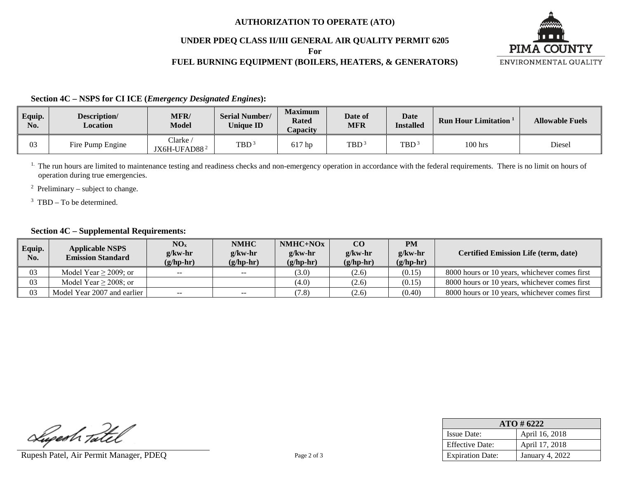### **AUTHORIZATION TO OPERATE (ATO)**

### **UNDER PDEQ CLASS II/III GENERAL AIR QUALITY PERMIT 6205**

**For**

# **FUEL BURNING EQUIPMENT (BOILERS, HEATERS, & GENERATORS)**



**Section 4C – NSPS for CI ICE (***Emergency Designated Engines***):**

| Equip.<br>No. | Description/<br>Location | <b>MFR/</b><br><b>Model</b>       | <b>Serial Number/</b><br><b>Unique ID</b> | <b>Maximum</b><br><b>Rated</b><br>Capacity | Date of<br><b>MFR</b> | <b>Date</b><br><b>Installed</b> | <b>Run Hour Limitation</b> | <b>Allowable Fuels</b> |
|---------------|--------------------------|-----------------------------------|-------------------------------------------|--------------------------------------------|-----------------------|---------------------------------|----------------------------|------------------------|
| 03            | Fire Pump Engine         | $\text{Clarke}$<br>$IX6H-UFAD882$ | TBD <sup>3</sup>                          | 617 hp                                     | TBD <sup>3</sup>      | TBD                             | $100$ hrs                  | Diesel                 |

<sup>1.</sup> The run hours are limited to maintenance testing and readiness checks and non-emergency operation in accordance with the federal requirements. There is no limit on hours of operation during true emergencies.

<sup>2</sup> Preliminary – subject to change.

 $3$  TBD – To be determined.

## **Section 4C – Supplemental Requirements:**

| Equip.<br>No. | <b>Applicable NSPS</b><br><b>Emission Standard</b> | $NO_{x}$<br>$g$ /kw-hr<br>$(g/hp-hr)$               | <b>NMHC</b><br>$g/kw-hr$<br>$(g/hp-hr)$ | $NMHC+NOx$<br>$g$ /kw-hr<br>$(g/hp-hr)$ | CO<br>$g$ /kw-hr<br>$(g/hp-hr)$ | <b>PM</b><br>$g/kw-hr$<br>$(g/hp-hr)$ | <b>Certified Emission Life (term, date)</b>   |
|---------------|----------------------------------------------------|-----------------------------------------------------|-----------------------------------------|-----------------------------------------|---------------------------------|---------------------------------------|-----------------------------------------------|
| 03            | Model Year $\geq$ 2009; or                         | $\hspace{0.05cm} -\hspace{0.05cm} -\hspace{0.05cm}$ | $--$                                    | (3.0)                                   | (2.6)                           | (0.15)                                | 8000 hours or 10 years, whichever comes first |
| 03            | Model Year $\geq$ 2008; or                         |                                                     |                                         | (4.0)                                   | (2.6)                           | (0.15)                                | 8000 hours or 10 years, whichever comes first |
| 03            | Model Year 2007 and earlier                        | $\sim$ $\sim$                                       | $- -$                                   | (7.8)                                   | (2.6)                           | (0.40)                                | 8000 hours or 10 years, whichever comes first |

Lugesh Tatel

Rupesh Patel, Air Permit Manager, PDEQ Page 2 of 3

| $ATO \# 6222$           |                 |  |  |  |  |
|-------------------------|-----------------|--|--|--|--|
| <b>Issue Date:</b>      | April 16, 2018  |  |  |  |  |
| <b>Effective Date:</b>  | April 17, 2018  |  |  |  |  |
| <b>Expiration Date:</b> | January 4, 2022 |  |  |  |  |